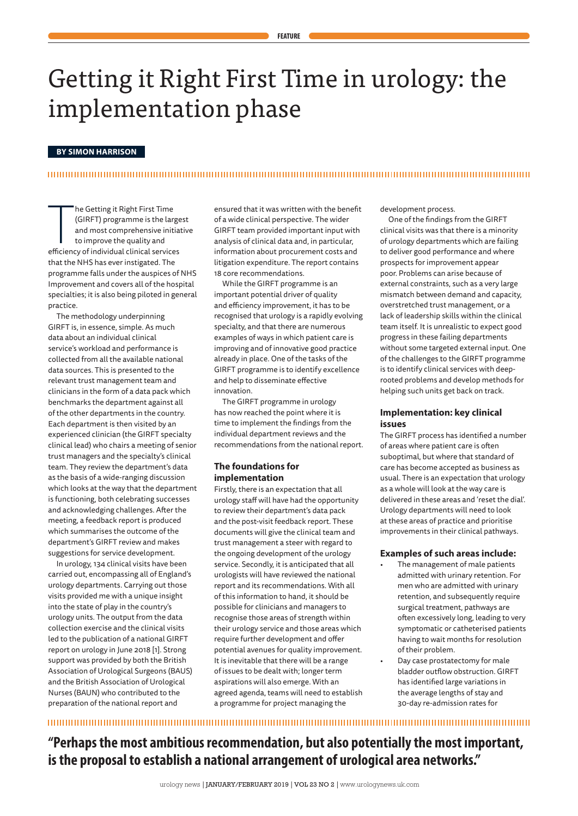# Getting it Right First Time in urology: the implementation phase

### **BY SIMON HARRISON**

# 

The Getting it Right First Time<br>
(GIRFT) programme is the large<br>
and most comprehensive initia<br>
to improve the quality and<br>
efficiency of individual clinical services he Getting it Right First Time (GIRFT) programme is the largest and most comprehensive initiative to improve the quality and that the NHS has ever instigated. The programme falls under the auspices of NHS Improvement and covers all of the hospital specialties; it is also being piloted in general practice.

The methodology underpinning GIRFT is, in essence, simple. As much data about an individual clinical service's workload and performance is collected from all the available national data sources. This is presented to the relevant trust management team and clinicians in the form of a data pack which benchmarks the department against all of the other departments in the country. Each department is then visited by an experienced clinician (the GIRFT specialty clinical lead) who chairs a meeting of senior trust managers and the specialty's clinical team. They review the department's data as the basis of a wide-ranging discussion which looks at the way that the department is functioning, both celebrating successes and acknowledging challenges. After the meeting, a feedback report is produced which summarises the outcome of the department's GIRFT review and makes suggestions for service development.

In urology, 134 clinical visits have been carried out, encompassing all of England's urology departments. Carrying out those visits provided me with a unique insight into the state of play in the country's urology units. The output from the data collection exercise and the clinical visits led to the publication of a national GIRFT report on urology in June 2018 [1]. Strong support was provided by both the British Association of Urological Surgeons (BAUS) and the British Association of Urological Nurses (BAUN) who contributed to the preparation of the national report and

ensured that it was written with the benefit of a wide clinical perspective. The wider GIRFT team provided important input with analysis of clinical data and, in particular, information about procurement costs and litigation expenditure. The report contains 18 core recommendations.

While the GIRFT programme is an important potential driver of quality and efficiency improvement, it has to be recognised that urology is a rapidly evolving specialty, and that there are numerous examples of ways in which patient care is improving and of innovative good practice already in place. One of the tasks of the GIRFT programme is to identify excellence and help to disseminate effective innovation.

The GIRFT programme in urology has now reached the point where it is time to implement the findings from the individual department reviews and the recommendations from the national report.

# **The foundations for implementation**

Firstly, there is an expectation that all urology staff will have had the opportunity to review their department's data pack and the post-visit feedback report. These documents will give the clinical team and trust management a steer with regard to the ongoing development of the urology service. Secondly, it is anticipated that all urologists will have reviewed the national report and its recommendations. With all of this information to hand, it should be possible for clinicians and managers to recognise those areas of strength within their urology service and those areas which require further development and offer potential avenues for quality improvement. It is inevitable that there will be a range of issues to be dealt with; longer term aspirations will also emerge. With an agreed agenda, teams will need to establish a programme for project managing the

development process.

One of the findings from the GIRFT clinical visits was that there is a minority of urology departments which are failing to deliver good performance and where prospects for improvement appear poor. Problems can arise because of external constraints, such as a very large mismatch between demand and capacity, overstretched trust management, or a lack of leadership skills within the clinical team itself. It is unrealistic to expect good progress in these failing departments without some targeted external input. One of the challenges to the GIRFT programme is to identify clinical services with deeprooted problems and develop methods for helping such units get back on track.

# **Implementation: key clinical issues**

The GIRFT process has identified a number of areas where patient care is often suboptimal, but where that standard of care has become accepted as business as usual. There is an expectation that urology as a whole will look at the way care is delivered in these areas and 'reset the dial'. Urology departments will need to look at these areas of practice and prioritise improvements in their clinical pathways.

#### **Examples of such areas include:**

- The management of male patients admitted with urinary retention. For men who are admitted with urinary retention, and subsequently require surgical treatment, pathways are often excessively long, leading to very symptomatic or catheterised patients having to wait months for resolution of their problem.
- Day case prostatectomy for male bladder outflow obstruction. GIRFT has identified large variations in the average lengths of stay and 30-day re-admission rates for

# **"Perhaps the most ambitious recommendation, but also potentially the most important, is the proposal to establish a national arrangement of urological area networks."**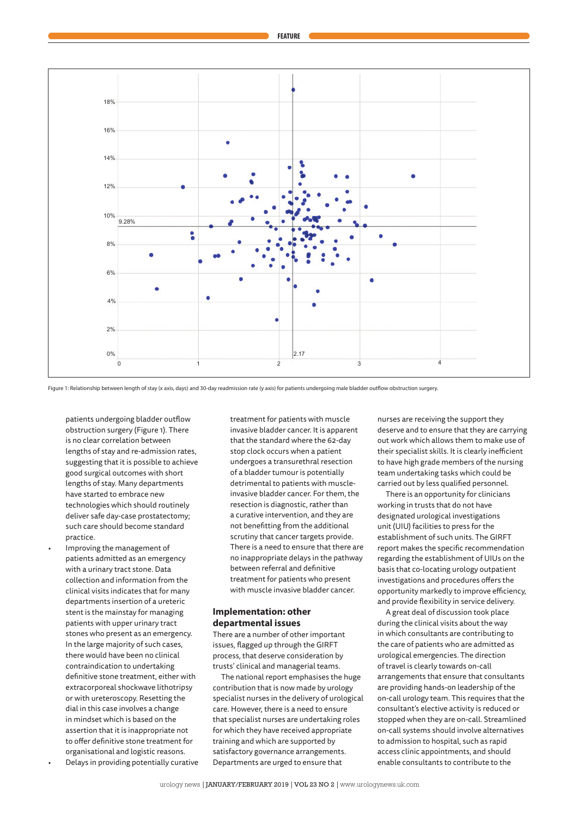

Figure 1: Relationship between length of stay (x axis, days) and 30-day readmission rate (y axis) for patients undergoing male bladder outflow obstruction surgery.

patients undergoing bladder outflow obstruction surgery (Figure 1). There is no clear correlation between lengths of stay and re-admission rates, suggesting that it is possible to achieve good surgical outcomes with short lengths of stay. Many departments have started to embrace new technologies which should routinely deliver safe day-case prostatectomy; such care should become standard practice.

• Improving the management of patients admitted as an emergency with a urinary tract stone. Data collection and information from the clinical visits indicates that for many departments insertion of a ureteric stent is the mainstay for managing patients with upper urinary tract stones who present as an emergency. In the large majority of such cases, there would have been no clinical contraindication to undertaking definitive stone treatment, either with extracorporeal shockwave lithotripsy or with ureteroscopy. Resetting the dial in this case involves a change in mindset which is based on the assertion that it is inappropriate not to offer definitive stone treatment for organisational and logistic reasons. • Delays in providing potentially curative

treatment for patients with muscle invasive bladder cancer. It is apparent that the standard where the 62-day stop clock occurs when a patient undergoes a transurethral resection of a bladder tumour is potentially detrimental to patients with muscleinvasive bladder cancer. For them, the resection is diagnostic, rather than a curative intervention, and they are not benefitting from the additional scrutiny that cancer targets provide. There is a need to ensure that there are no inappropriate delays in the pathway between referral and definitive treatment for patients who present with muscle invasive bladder cancer.

# **Implementation: other departmental issues**

There are a number of other important issues, flagged up through the GIRFT process, that deserve consideration by trusts' clinical and managerial teams.

The national report emphasises the huge contribution that is now made by urology specialist nurses in the delivery of urological care. However, there is a need to ensure that specialist nurses are undertaking roles for which they have received appropriate training and which are supported by satisfactory governance arrangements. Departments are urged to ensure that

nurses are receiving the support they deserve and to ensure that they are carrying out work which allows them to make use of their specialist skills. It is clearly inefficient to have high grade members of the nursing team undertaking tasks which could be carried out by less qualified personnel.

There is an opportunity for clinicians working in trusts that do not have designated urological investigations unit (UIU) facilities to press for the establishment of such units. The GIRFT report makes the specific recommendation regarding the establishment of UIUs on the basis that co-locating urology outpatient investigations and procedures offers the opportunity markedly to improve efficiency, and provide flexibility in service delivery.

A great deal of discussion took place during the clinical visits about the way in which consultants are contributing to the care of patients who are admitted as urological emergencies. The direction of travel is clearly towards on-call arrangements that ensure that consultants are providing hands-on leadership of the on-call urology team. This requires that the consultant's elective activity is reduced or stopped when they are on-call. Streamlined on-call systems should involve alternatives to admission to hospital, such as rapid access clinic appointments, and should enable consultants to contribute to the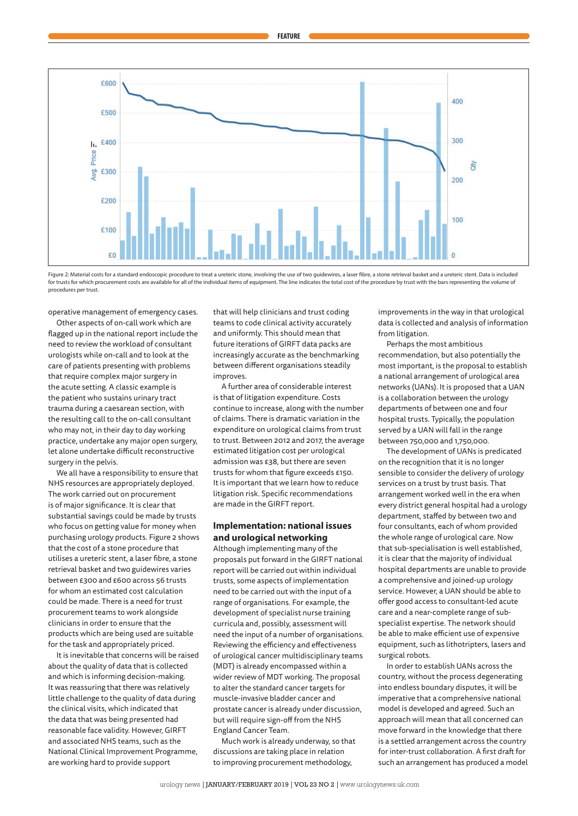

Figure 2: Material costs for a standard endoscopic procedure to treat a ureteric stone, involving the use of two guidewires, a laser fibre, a stone retrieval basket and a ureteric stent. Data is included for trusts for which procurement costs are available for all of the individual items of equipment. The line indicates the total cost of the procedure by trust with the bars representing the volume of procedures per trust.

operative management of emergency cases.

Other aspects of on-call work which are flagged up in the national report include the need to review the workload of consultant urologists while on-call and to look at the care of patients presenting with problems that require complex major surgery in the acute setting. A classic example is the patient who sustains urinary tract trauma during a caesarean section, with the resulting call to the on-call consultant who may not, in their day to day working practice, undertake any major open surgery, let alone undertake difficult reconstructive surgery in the pelvis.

We all have a responsibility to ensure that NHS resources are appropriately deployed. The work carried out on procurement is of major significance. It is clear that substantial savings could be made by trusts who focus on getting value for money when purchasing urology products. Figure 2 shows that the cost of a stone procedure that utilises a ureteric stent, a laser fibre, a stone retrieval basket and two guidewires varies between £300 and £600 across 56 trusts for whom an estimated cost calculation could be made. There is a need for trust procurement teams to work alongside clinicians in order to ensure that the products which are being used are suitable for the task and appropriately priced.

It is inevitable that concerns will be raised about the quality of data that is collected and which is informing decision-making. It was reassuring that there was relatively little challenge to the quality of data during the clinical visits, which indicated that the data that was being presented had reasonable face validity. However, GIRFT and associated NHS teams, such as the National Clinical Improvement Programme, are working hard to provide support

that will help clinicians and trust coding teams to code clinical activity accurately and uniformly. This should mean that future iterations of GIRFT data packs are increasingly accurate as the benchmarking between different organisations steadily improves.

A further area of considerable interest is that of litigation expenditure. Costs continue to increase, along with the number of claims. There is dramatic variation in the expenditure on urological claims from trust to trust. Between 2012 and 2017, the average estimated litigation cost per urological admission was £38, but there are seven trusts for whom that figure exceeds £150. It is important that we learn how to reduce litigation risk. Specific recommendations are made in the GIRFT report.

# **Implementation: national issues and urological networking**

Although implementing many of the proposals put forward in the GIRFT national report will be carried out within individual trusts, some aspects of implementation need to be carried out with the input of a range of organisations. For example, the development of specialist nurse training curricula and, possibly, assessment will need the input of a number of organisations. Reviewing the efficiency and effectiveness of urological cancer multidisciplinary teams (MDT) is already encompassed within a wider review of MDT working. The proposal to alter the standard cancer targets for muscle-invasive bladder cancer and prostate cancer is already under discussion, but will require sign-off from the NHS England Cancer Team.

Much work is already underway, so that discussions are taking place in relation to improving procurement methodology,

improvements in the way in that urological data is collected and analysis of information from litigation.

Perhaps the most ambitious recommendation, but also potentially the most important, is the proposal to establish a national arrangement of urological area networks (UANs). It is proposed that a UAN is a collaboration between the urology departments of between one and four hospital trusts. Typically, the population served by a UAN will fall in the range between 750,000 and 1,750,000.

The development of UANs is predicated on the recognition that it is no longer sensible to consider the delivery of urology services on a trust by trust basis. That arrangement worked well in the era when every district general hospital had a urology department, staffed by between two and four consultants, each of whom provided the whole range of urological care. Now that sub-specialisation is well established, it is clear that the majority of individual hospital departments are unable to provide a comprehensive and joined-up urology service. However, a UAN should be able to offer good access to consultant-led acute care and a near-complete range of subspecialist expertise. The network should be able to make efficient use of expensive equipment, such as lithotripters, lasers and surgical robots.

In order to establish UANs across the country, without the process degenerating into endless boundary disputes, it will be imperative that a comprehensive national model is developed and agreed. Such an approach will mean that all concerned can move forward in the knowledge that there is a settled arrangement across the country for inter-trust collaboration. A first draft for such an arrangement has produced a model